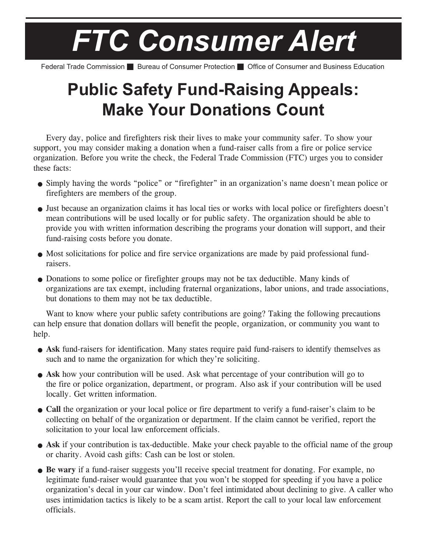## *FTC Consumer Alert*

Federal Trade Commission **B** Bureau of Consumer Protection **C** Office of Consumer and Business Education

## **Public Safety Fund-Raising Appeals: Make Your Donations Count**

Every day, police and firefighters risk their lives to make your community safer. To show your support, you may consider making a donation when a fund-raiser calls from a fire or police service organization. Before you write the check, the Federal Trade Commission (FTC) urges you to consider these facts:

- Simply having the words "police" or "firefighter" in an organization's name doesn't mean police or firefighters are members of the group.
- Just because an organization claims it has local ties or works with local police or firefighters doesn't mean contributions will be used locally or for public safety. The organization should be able to provide you with written information describing the programs your donation will support, and their fund-raising costs before you donate.
- Most solicitations for police and fire service organizations are made by paid professional fundraisers.
- Donations to some police or firefighter groups may not be tax deductible. Many kinds of organizations are tax exempt, including fraternal organizations, labor unions, and trade associations, but donations to them may not be tax deductible.

Want to know where your public safety contributions are going? Taking the following precautions can help ensure that donation dollars will benefit the people, organization, or community you want to help.

- **Ask** fund-raisers for identification. Many states require paid fund-raisers to identify themselves as such and to name the organization for which they're soliciting.
- **Ask** how your contribution will be used. Ask what percentage of your contribution will go to the fire or police organization, department, or program. Also ask if your contribution will be used locally. Get written information.
- **Call** the organization or your local police or fire department to verify a fund-raiser's claim to be collecting on behalf of the organization or department. If the claim cannot be verified, report the solicitation to your local law enforcement officials.
- **Ask** if your contribution is tax-deductible. Make your check payable to the official name of the group or charity. Avoid cash gifts: Cash can be lost or stolen*.*
- **Be wary** if a fund-raiser suggests you'll receive special treatment for donating. For example, no legitimate fund-raiser would guarantee that you won't be stopped for speeding if you have a police organization's decal in your car window. Don't feel intimidated about declining to give. A caller who uses intimidation tactics is likely to be a scam artist. Report the call to your local law enforcement officials.